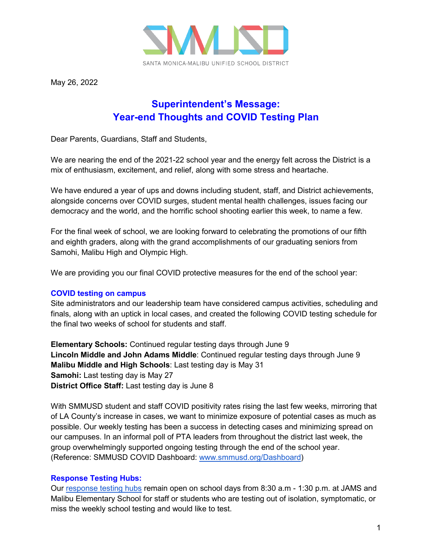

May 26, 2022

## **Superintendent's Message: Year-end Thoughts and COVID Testing Plan**

Dear Parents, Guardians, Staff and Students,

We are nearing the end of the 2021-22 school year and the energy felt across the District is a mix of enthusiasm, excitement, and relief, along with some stress and heartache.

We have endured a year of ups and downs including student, staff, and District achievements, alongside concerns over COVID surges, student mental health challenges, issues facing our democracy and the world, and the horrific school shooting earlier this week, to name a few.

For the final week of school, we are looking forward to celebrating the promotions of our fifth and eighth graders, along with the grand accomplishments of our graduating seniors from Samohi, Malibu High and Olympic High.

We are providing you our final COVID protective measures for the end of the school year:

## **COVID testing on campus**

Site administrators and our leadership team have considered campus activities, scheduling and finals, along with an uptick in local cases, and created the following COVID testing schedule for the final two weeks of school for students and staff.

**Elementary Schools:** Continued regular testing days through June 9 **Lincoln Middle and John Adams Middle**: Continued regular testing days through June 9 **Malibu Middle and High Schools**: Last testing day is May 31 **Samohi:** Last testing day is May 27 **District Office Staff:** Last testing day is June 8

With SMMUSD student and staff COVID positivity rates rising the last few weeks, mirroring that of LA County's increase in cases, we want to minimize exposure of potential cases as much as possible. Our weekly testing has been a success in detecting cases and minimizing spread on our campuses. In an informal poll of PTA leaders from throughout the district last week, the group overwhelmingly supported ongoing testing through the end of the school year. (Reference: SMMUSD COVID Dashboard: [www.smmusd.org/Dashboard\)](http://www.smmusd.org/Dashboard)

## **Response Testing Hubs:**

Our [response testing hubs](https://docs.google.com/document/d/1tv5pkv7_6DESc1Hw969EKetu389oioqsTNtDmWAuTXo/edit) remain open on school days from 8:30 a.m - 1:30 p.m. at JAMS and Malibu Elementary School for staff or students who are testing out of isolation, symptomatic, or miss the weekly school testing and would like to test.